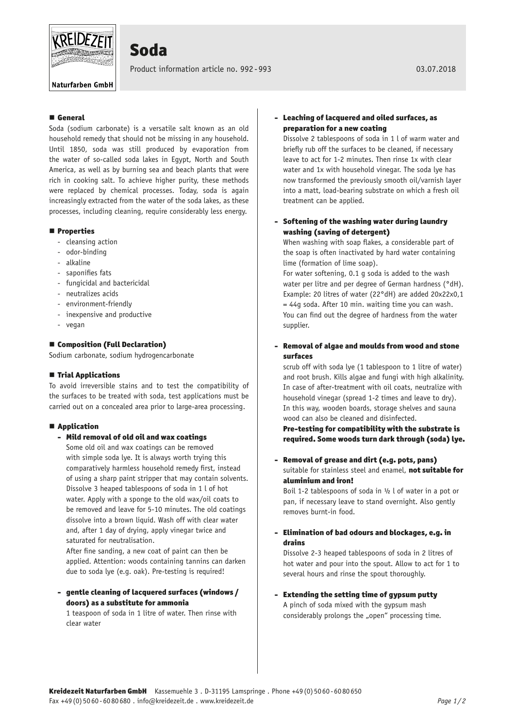

# Soda

Product information article no. 992 - 993 03.07.2018

Naturfarben GmbH

# General

Soda (sodium carbonate) is a versatile salt known as an old household remedy that should not be missing in any household. Until 1850, soda was still produced by evaporation from the water of so-called soda lakes in Egypt, North and South America, as well as by burning sea and beach plants that were rich in cooking salt. To achieve higher purity, these methods were replaced by chemical processes. Today, soda is again increasingly extracted from the water of the soda lakes, as these processes, including cleaning, require considerably less energy.

### **Properties**

- cleansing action
- odor-binding
- alkaline
- saponifies fats
- fungicidal and bactericidal
- neutralizes acids
- environment-friendly
- inexpensive and productive
- vegan

## ■ Composition (Full Declaration)

Sodium carbonate, sodium hydrogencarbonate

## $\blacksquare$  Trial Applications

To avoid irreversible stains and to test the compatibility of the surfaces to be treated with soda, test applications must be carried out on a concealed area prior to large-area processing.

## ■ Application

- Mild removal of old oil and wax coatings

Some old oil and wax coatings can be removed with simple soda lye. It is always worth trying this comparatively harmless household remedy first, instead of using a sharp paint stripper that may contain solvents. Dissolve 3 heaped tablespoons of soda in 1 l of hot water. Apply with a sponge to the old wax/oil coats to be removed and leave for 5-10 minutes. The old coatings dissolve into a brown liquid. Wash off with clear water and, after 1 day of drying, apply vinegar twice and saturated for neutralisation.

After fine sanding, a new coat of paint can then be applied. Attention: woods containing tannins can darken due to soda lye (e.g. oak). Pre-testing is required!

# - gentle cleaning of lacquered surfaces (windows / doors) as a substitute for ammonia

1 teaspoon of soda in 1 litre of water. Then rinse with clear water

# - Leaching of lacquered and oiled surfaces, as preparation for a new coating

Dissolve 2 tablespoons of soda in 1 l of warm water and briefly rub off the surfaces to be cleaned, if necessary leave to act for 1-2 minutes. Then rinse 1x with clear water and 1x with household vinegar. The soda lye has now transformed the previously smooth oil/varnish layer into a matt, load-bearing substrate on which a fresh oil treatment can be applied.

# - Softening of the washing water during laundry washing (saving of detergent)

When washing with soap flakes, a considerable part of the soap is often inactivated by hard water containing lime (formation of lime soap).

For water softening, 0.1 g soda is added to the wash water per litre and per degree of German hardness (°dH). Example: 20 litres of water (22°dH) are added 20x22x0,1 = 44g soda. After 10 min. waiting time you can wash. You can find out the degree of hardness from the water supplier.

# - Removal of algae and moulds from wood and stone surfaces

scrub off with soda lye (1 tablespoon to 1 litre of water) and root brush. Kills algae and fungi with high alkalinity. In case of after-treatment with oil coats, neutralize with household vinegar (spread 1-2 times and leave to dry). In this way, wooden boards, storage shelves and sauna wood can also be cleaned and disinfected.

Pre-testing for compatibility with the substrate is required. Some woods turn dark through (soda) lye.

- Removal of grease and dirt (e.g. pots, pans) suitable for stainless steel and enamel, not suitable for aluminium and iron!

Boil 1-2 tablespoons of soda in ½ l of water in a pot or pan, if necessary leave to stand overnight. Also gently removes burnt-in food.

- Elimination of bad odours and blockages, e.g. in drains

Dissolve 2-3 heaped tablespoons of soda in 2 litres of hot water and pour into the spout. Allow to act for 1 to several hours and rinse the spout thoroughly.

- Extending the setting time of gypsum putty A pinch of soda mixed with the gypsum mash considerably prolongs the "open" processing time.